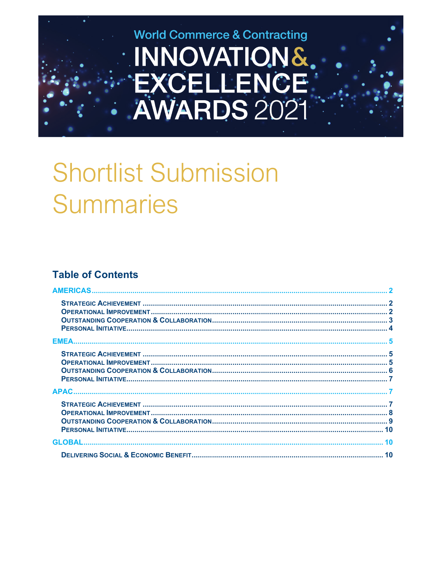

# **Shortlist Submission Summaries**

# **Table of Contents**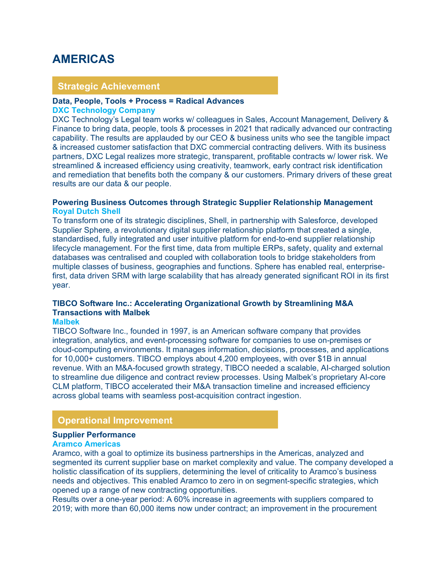# <span id="page-1-0"></span>**AMERICAS**

# **Strategic Achievement**

# **Data, People, Tools + Process = Radical Advances**

#### **DXC Technology Company**

DXC Technology's Legal team works w/ colleagues in Sales, Account Management, Delivery & Finance to bring data, people, tools & processes in 2021 that radically advanced our contracting capability. The results are applauded by our CEO & business units who see the tangible impact & increased customer satisfaction that DXC commercial contracting delivers. With its business partners, DXC Legal realizes more strategic, transparent, profitable contracts w/ lower risk. We streamlined & increased efficiency using creativity, teamwork, early contract risk identification and remediation that benefits both the company & our customers. Primary drivers of these great results are our data & our people.

## **Powering Business Outcomes through Strategic Supplier Relationship Management Royal Dutch Shell**

To transform one of its strategic disciplines, Shell, in partnership with Salesforce, developed Supplier Sphere, a revolutionary digital supplier relationship platform that created a single, standardised, fully integrated and user intuitive platform for end-to-end supplier relationship lifecycle management. For the first time, data from multiple ERPs, safety, quality and external databases was centralised and coupled with collaboration tools to bridge stakeholders from multiple classes of business, geographies and functions. Sphere has enabled real, enterprisefirst, data driven SRM with large scalability that has already generated significant ROI in its first year.

# **TIBCO Software Inc.: Accelerating Organizational Growth by Streamlining M&A Transactions with Malbek**

#### **Malbek**

TIBCO Software Inc., founded in 1997, is an American software company that provides integration, analytics, and event-processing software for companies to use on-premises or cloud-computing environments. It manages information, decisions, processes, and applications for 10,000+ customers. TIBCO employs about 4,200 employees, with over \$1B in annual revenue. With an M&A-focused growth strategy, TIBCO needed a scalable, AI-charged solution to streamline due diligence and contract review processes. Using Malbek's proprietary AI-core CLM platform, TIBCO accelerated their M&A transaction timeline and increased efficiency across global teams with seamless post-acquisition contract ingestion.

# **Operational Improvement**

# **Supplier Performance**

# **Aramco Americas**

Aramco, with a goal to optimize its business partnerships in the Americas, analyzed and segmented its current supplier base on market complexity and value. The company developed a holistic classification of its suppliers, determining the level of criticality to Aramco's business needs and objectives. This enabled Aramco to zero in on segment-specific strategies, which opened up a range of new contracting opportunities.

Results over a one-year period: A 60% increase in agreements with suppliers compared to 2019; with more than 60,000 items now under contract; an improvement in the procurement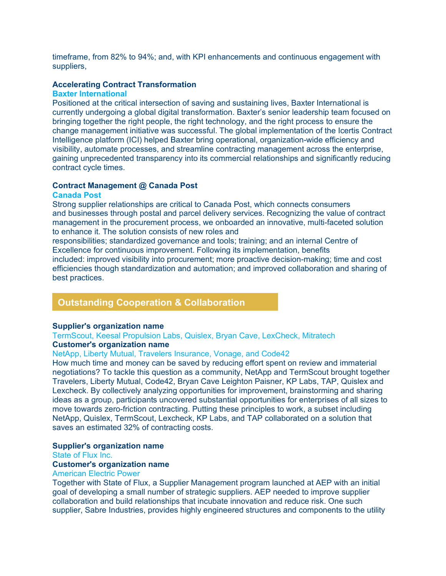timeframe, from 82% to 94%; and, with KPI enhancements and continuous engagement with suppliers,

# **Accelerating Contract Transformation**

#### **Baxter International**

Positioned at the critical intersection of saving and sustaining lives, Baxter International is currently undergoing a global digital transformation. Baxter's senior leadership team focused on bringing together the right people, the right technology, and the right process to ensure the change management initiative was successful. The global implementation of the Icertis Contract Intelligence platform (ICI) helped Baxter bring operational, organization-wide efficiency and visibility, automate processes, and streamline contracting management across the enterprise, gaining unprecedented transparency into its commercial relationships and significantly reducing contract cycle times.

# **Contract Management @ Canada Post**

#### **Canada Post**

Strong supplier relationships are critical to Canada Post, which connects consumers and businesses through postal and parcel delivery services. Recognizing the value of contract management in the procurement process, we onboarded an innovative, multi-faceted solution to enhance it. The solution consists of new roles and

responsibilities; standardized governance and tools; training; and an internal Centre of Excellence for continuous improvement. Following its implementation, benefits included: improved visibility into procurement; more proactive decision-making; time and cost efficiencies though standardization and automation; and improved collaboration and sharing of

best practices.

# **Outstanding Cooperation & Collaboration**

# **Supplier's organization name**

TermScout, Keesal Propulsion Labs, Quislex, Bryan Cave, LexCheck, Mitratech **Customer's organization name**

# NetApp, Liberty Mutual, Travelers Insurance, Vonage, and Code42

How much time and money can be saved by reducing effort spent on review and immaterial negotiations? To tackle this question as a community, NetApp and TermScout brought together Travelers, Liberty Mutual, Code42, Bryan Cave Leighton Paisner, KP Labs, TAP, Quislex and Lexcheck. By collectively analyzing opportunities for improvement, brainstorming and sharing ideas as a group, participants uncovered substantial opportunities for enterprises of all sizes to move towards zero-friction contracting. Putting these principles to work, a subset including NetApp, Quislex, TermScout, Lexcheck, KP Labs, and TAP collaborated on a solution that saves an estimated 32% of contracting costs.

# **Supplier's organization name**

State of Flux Inc.

# **Customer's organization name**

# American Electric Power

Together with State of Flux, a Supplier Management program launched at AEP with an initial goal of developing a small number of strategic suppliers. AEP needed to improve supplier collaboration and build relationships that incubate innovation and reduce risk. One such supplier, Sabre Industries, provides highly engineered structures and components to the utility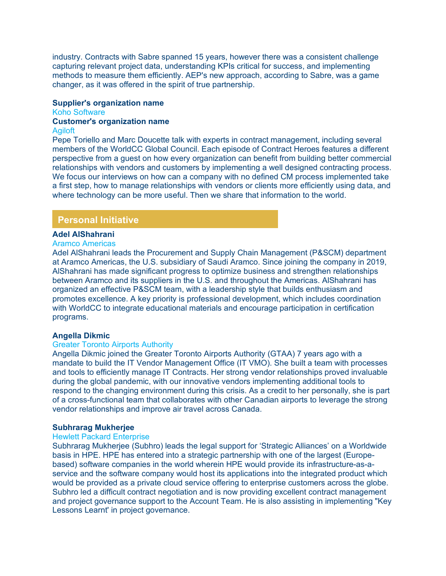industry. Contracts with Sabre spanned 15 years, however there was a consistent challenge capturing relevant project data, understanding KPIs critical for success, and implementing methods to measure them efficiently. AEP's new approach, according to Sabre, was a game changer, as it was offered in the spirit of true partnership.

# **Supplier's organization name**

Koho Software

# **Customer's organization name**

#### Agiloft

Pepe Toriello and Marc Doucette talk with experts in contract management, including several members of the WorldCC Global Council. Each episode of Contract Heroes features a different perspective from a guest on how every organization can benefit from building better commercial relationships with vendors and customers by implementing a well designed contracting process. We focus our interviews on how can a company with no defined CM process implemented take a first step, how to manage relationships with vendors or clients more efficiently using data, and where technology can be more useful. Then we share that information to the world.

#### **Personal Initiative**

#### **Adel AlShahrani**

#### Aramco Americas

Adel AlShahrani leads the Procurement and Supply Chain Management (P&SCM) department at Aramco Americas, the U.S. subsidiary of Saudi Aramco. Since joining the company in 2019, AlShahrani has made significant progress to optimize business and strengthen relationships between Aramco and its suppliers in the U.S. and throughout the Americas. AlShahrani has organized an effective P&SCM team, with a leadership style that builds enthusiasm and promotes excellence. A key priority is professional development, which includes coordination with WorldCC to integrate educational materials and encourage participation in certification programs.

## **Angella Dikmic**

#### Greater Toronto Airports Authority

Angella Dikmic joined the Greater Toronto Airports Authority (GTAA) 7 years ago with a mandate to build the IT Vendor Management Office (IT VMO). She built a team with processes and tools to efficiently manage IT Contracts. Her strong vendor relationships proved invaluable during the global pandemic, with our innovative vendors implementing additional tools to respond to the changing environment during this crisis. As a credit to her personally, she is part of a cross-functional team that collaborates with other Canadian airports to leverage the strong vendor relationships and improve air travel across Canada.

#### **Subhrarag Mukherjee**

#### Hewlett Packard Enterprise

Subhrarag Mukherjee (Subhro) leads the legal support for 'Strategic Alliances' on a Worldwide basis in HPE. HPE has entered into a strategic partnership with one of the largest (Europebased) software companies in the world wherein HPE would provide its infrastructure-as-aservice and the software company would host its applications into the integrated product which would be provided as a private cloud service offering to enterprise customers across the globe. Subhro led a difficult contract negotiation and is now providing excellent contract management and project governance support to the Account Team. He is also assisting in implementing "Key Lessons Learnt' in project governance.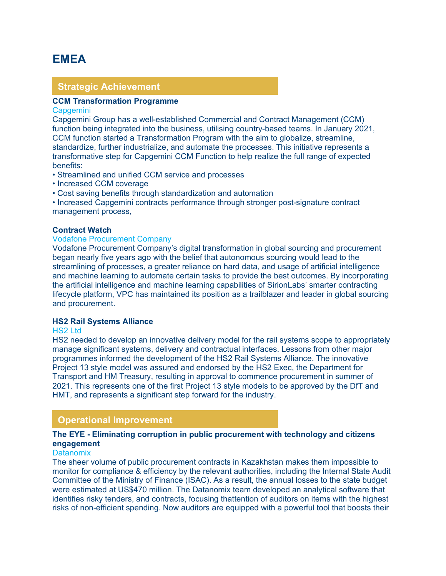# <span id="page-4-0"></span>**EMEA**

# **Strategic Achievement**

# **CCM Transformation Programme**

#### **Capgemini**

Capgemini Group has a well-established Commercial and Contract Management (CCM) function being integrated into the business, utilising country-based teams. In January 2021, CCM function started a Transformation Program with the aim to globalize, streamline, standardize, further industrialize, and automate the processes. This initiative represents a transformative step for Capgemini CCM Function to help realize the full range of expected benefits:

- Streamlined and unified CCM service and processes
- Increased CCM coverage
- Cost saving benefits through standardization and automation

• Increased Capgemini contracts performance through stronger post-signature contract management process,

#### **Contract Watch**

# Vodafone Procurement Company

Vodafone Procurement Company's digital transformation in global sourcing and procurement began nearly five years ago with the belief that autonomous sourcing would lead to the streamlining of processes, a greater reliance on hard data, and usage of artificial intelligence and machine learning to automate certain tasks to provide the best outcomes. By incorporating the artificial intelligence and machine learning capabilities of SirionLabs' smarter contracting lifecycle platform, VPC has maintained its position as a trailblazer and leader in global sourcing and procurement.

#### **HS2 Rail Systems Alliance**

#### HS2 Ltd

HS2 needed to develop an innovative delivery model for the rail systems scope to appropriately manage significant systems, delivery and contractual interfaces. Lessons from other major programmes informed the development of the HS2 Rail Systems Alliance. The innovative Project 13 style model was assured and endorsed by the HS2 Exec, the Department for Transport and HM Treasury, resulting in approval to commence procurement in summer of 2021. This represents one of the first Project 13 style models to be approved by the DfT and HMT, and represents a significant step forward for the industry.

# **Operational Improvement**

# **The EYE - Eliminating corruption in public procurement with technology and citizens engagement**

#### **Datanomix**

The sheer volume of public procurement contracts in Kazakhstan makes them impossible to monitor for compliance & efficiency by the relevant authorities, including the Internal State Audit Committee of the Ministry of Finance (ISAC). As a result, the annual losses to the state budget were estimated at US\$470 million. The Datanomix team developed an analytical software that identifies risky tenders, and contracts, focusing thattention of auditors on items with the highest risks of non-efficient spending. Now auditors are equipped with a powerful tool that boosts their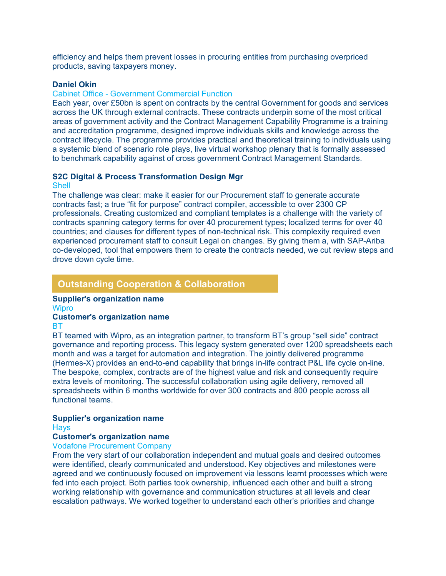efficiency and helps them prevent losses in procuring entities from purchasing overpriced products, saving taxpayers money.

#### **Daniel Okin**

#### Cabinet Office - Government Commercial Function

Each year, over £50bn is spent on contracts by the central Government for goods and services across the UK through external contracts. These contracts underpin some of the most critical areas of government activity and the Contract Management Capability Programme is a training and accreditation programme, designed improve individuals skills and knowledge across the contract lifecycle. The programme provides practical and theoretical training to individuals using a systemic blend of scenario role plays, live virtual workshop plenary that is formally assessed to benchmark capability against of cross government Contract Management Standards.

# **S2C Digital & Process Transformation Design Mgr**

**Shell** 

The challenge was clear: make it easier for our Procurement staff to generate accurate contracts fast; a true "fit for purpose" contract compiler, accessible to over 2300 CP professionals. Creating customized and compliant templates is a challenge with the variety of contracts spanning category terms for over 40 procurement types; localized terms for over 40 countries; and clauses for different types of non-technical risk. This complexity required even experienced procurement staff to consult Legal on changes. By giving them a, with SAP-Ariba co-developed, tool that empowers them to create the contracts needed, we cut review steps and drove down cycle time.

# **Outstanding Cooperation & Collaboration**

# **Supplier's organization name**

**Wipro** 

# **Customer's organization name**

#### BT

BT teamed with Wipro, as an integration partner, to transform BT's group "sell side" contract governance and reporting process. This legacy system generated over 1200 spreadsheets each month and was a target for automation and integration. The jointly delivered programme (Hermes-X) provides an end-to-end capability that brings in-life contract P&L life cycle on-line. The bespoke, complex, contracts are of the highest value and risk and consequently require extra levels of monitoring. The successful collaboration using agile delivery, removed all spreadsheets within 6 months worldwide for over 300 contracts and 800 people across all functional teams.

# **Supplier's organization name**

**Havs** 

# **Customer's organization name**

#### Vodafone Procurement Company

From the very start of our collaboration independent and mutual goals and desired outcomes were identified, clearly communicated and understood. Key objectives and milestones were agreed and we continuously focused on improvement via lessons learnt processes which were fed into each project. Both parties took ownership, influenced each other and built a strong working relationship with governance and communication structures at all levels and clear escalation pathways. We worked together to understand each other's priorities and change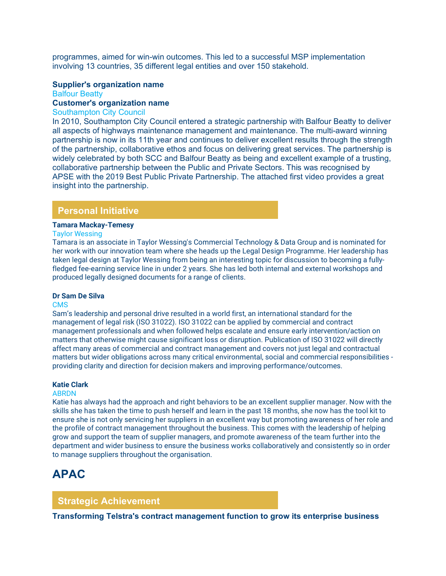programmes, aimed for win-win outcomes. This led to a successful MSP implementation involving 13 countries, 35 different legal entities and over 150 stakehold.

# **Supplier's organization name**

Balfour Beatty

# **Customer's organization name**

# Southampton City Council

In 2010, Southampton City Council entered a strategic partnership with Balfour Beatty to deliver all aspects of highways maintenance management and maintenance. The multi-award winning partnership is now in its 11th year and continues to deliver excellent results through the strength of the partnership, collaborative ethos and focus on delivering great services. The partnership is widely celebrated by both SCC and Balfour Beatty as being and excellent example of a trusting, collaborative partnership between the Public and Private Sectors. This was recognised by APSE with the 2019 Best Public Private Partnership. The attached first video provides a great insight into the partnership.

# **Personal Initiative**

#### **Tamara Mackay-Temesy**

#### Taylor Wessing

Tamara is an associate in Taylor Wessing's Commercial Technology & Data Group and is nominated for her work with our innovation team where she heads up the Legal Design Programme. Her leadership has taken legal design at Taylor Wessing from being an interesting topic for discussion to becoming a fullyfledged fee-earning service line in under 2 years. She has led both internal and external workshops and produced legally designed documents for a range of clients.

#### **Dr Sam De Silva**

#### CMS

Sam's leadership and personal drive resulted in a world first, an international standard for the management of legal risk (ISO 31022). ISO 31022 can be applied by commercial and contract management professionals and when followed helps escalate and ensure early intervention/action on matters that otherwise might cause significant loss or disruption. Publication of ISO 31022 will directly affect many areas of commercial and contract management and covers not just legal and contractual matters but wider obligations across many critical environmental, social and commercial responsibilities providing clarity and direction for decision makers and improving performance/outcomes.

#### **Katie Clark**

#### ABRDN

Katie has always had the approach and right behaviors to be an excellent supplier manager. Now with the skills she has taken the time to push herself and learn in the past 18 months, she now has the tool kit to ensure she is not only servicing her suppliers in an excellent way but promoting awareness of her role and the profile of contract management throughout the business. This comes with the leadership of helping grow and support the team of supplier managers, and promote awareness of the team further into the department and wider business to ensure the business works collaboratively and consistently so in order to manage suppliers throughout the organisation.

# <span id="page-6-0"></span>**APAC**

# **Strategic Achievement**

**Transforming Telstra's contract management function to grow its enterprise business**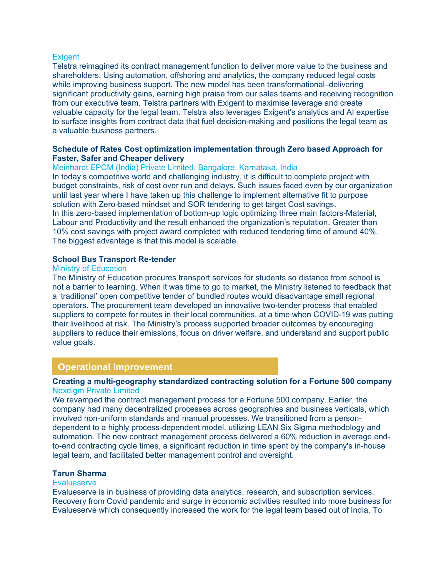#### **Exigent**

Telstra reimagined its contract management function to deliver more value to the business and shareholders. Using automation, offshoring and analytics, the company reduced legal costs while improving business support. The new model has been transformational–delivering significant productivity gains, earning high praise from our sales teams and receiving recognition from our executive team. Telstra partners with Exigent to maximise leverage and create valuable capacity for the legal team. Telstra also leverages Exigent's analytics and AI expertise to surface insights from contract data that fuel decision-making and positions the legal team as a valuable business partners.

# **Schedule of Rates Cost optimization implementation through Zero based Approach for Faster, Safer and Cheaper delivery**

# Meinhardt EPCM (India) Private Limited, Bangalore. Karnataka, India

In today's competitive world and challenging industry, it is difficult to complete project with budget constraints, risk of cost over run and delays. Such issues faced even by our organization until last year where I have taken up this challenge to implement alternative fit to purpose solution with Zero-based mindset and SOR tendering to get target Cost savings. In this zero-based implementation of bottom-up logic optimizing three main factors-Material, Labour and Productivity and the result enhanced the organization's reputation. Greater than 10% cost savings with project award completed with reduced tendering time of around 40%. The biggest advantage is that this model is scalable.

# **School Bus Transport Re-tender**

#### Ministry of Education

The Ministry of Education procures transport services for students so distance from school is not a barrier to learning. When it was time to go to market, the Ministry listened to feedback that a 'traditional' open competitive tender of bundled routes would disadvantage small regional operators. The procurement team developed an innovative two-tender process that enabled suppliers to compete for routes in their local communities, at a time when COVID-19 was putting their livelihood at risk. The Ministry's process supported broader outcomes by encouraging suppliers to reduce their emissions, focus on driver welfare, and understand and support public value goals.

# **Operational Improvement**

# **Creating a multi-geography standardized contracting solution for a Fortune 500 company** Nexdigm Private Limited

We revamped the contract management process for a Fortune 500 company. Earlier, the company had many decentralized processes across geographies and business verticals, which involved non-uniform standards and manual processes. We transitioned from a persondependent to a highly process-dependent model, utilizing LEAN Six Sigma methodology and automation. The new contract management process delivered a 60% reduction in average endto-end contracting cycle times, a significant reduction in time spent by the company's in-house legal team, and facilitated better management control and oversight.

#### **Tarun Sharma**

#### **Evalueserve**

Evalueserve is in business of providing data analytics, research, and subscription services. Recovery from Covid pandemic and surge in economic activities resulted into more business for Evalueserve which consequently increased the work for the legal team based out of India. To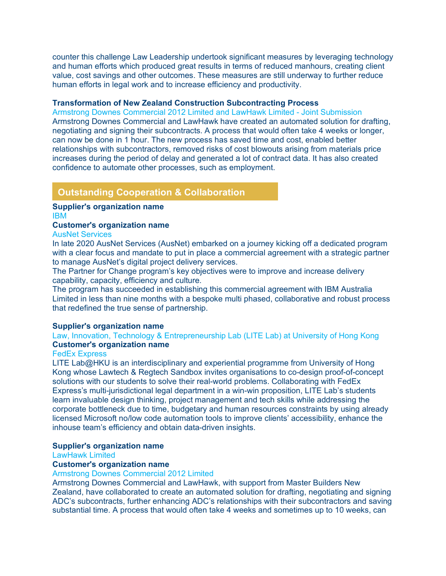counter this challenge Law Leadership undertook significant measures by leveraging technology and human efforts which produced great results in terms of reduced manhours, creating client value, cost savings and other outcomes. These measures are still underway to further reduce human efforts in legal work and to increase efficiency and productivity.

# **Transformation of New Zealand Construction Subcontracting Process**

Armstrong Downes Commercial 2012 Limited and LawHawk Limited - Joint Submission Armstrong Downes Commercial and LawHawk have created an automated solution for drafting, negotiating and signing their subcontracts. A process that would often take 4 weeks or longer, can now be done in 1 hour. The new process has saved time and cost, enabled better relationships with subcontractors, removed risks of cost blowouts arising from materials price increases during the period of delay and generated a lot of contract data. It has also created confidence to automate other processes, such as employment.

# **Outstanding Cooperation & Collaboration**

#### **Supplier's organization name** IBM

# **Customer's organization name**

AusNet Services

In late 2020 AusNet Services (AusNet) embarked on a journey kicking off a dedicated program with a clear focus and mandate to put in place a commercial agreement with a strategic partner to manage AusNet's digital project delivery services.

The Partner for Change program's key objectives were to improve and increase delivery capability, capacity, efficiency and culture.

The program has succeeded in establishing this commercial agreement with IBM Australia Limited in less than nine months with a bespoke multi phased, collaborative and robust process that redefined the true sense of partnership.

# **Supplier's organization name**

Law, Innovation, Technology & Entrepreneurship Lab (LITE Lab) at University of Hong Kong **Customer's organization name**

# FedEx Express

LITE Lab@HKU is an interdisciplinary and experiential programme from University of Hong Kong whose Lawtech & Regtech Sandbox invites organisations to co-design proof-of-concept solutions with our students to solve their real-world problems. Collaborating with FedEx Express's multi-jurisdictional legal department in a win-win proposition, LITE Lab's students learn invaluable design thinking, project management and tech skills while addressing the corporate bottleneck due to time, budgetary and human resources constraints by using already licensed Microsoft no/low code automation tools to improve clients' accessibility, enhance the inhouse team's efficiency and obtain data-driven insights.

# **Supplier's organization name**

LawHawk Limited

# **Customer's organization name**

Armstrong Downes Commercial 2012 Limited

Armstrong Downes Commercial and LawHawk, with support from Master Builders New Zealand, have collaborated to create an automated solution for drafting, negotiating and signing ADC's subcontracts, further enhancing ADC's relationships with their subcontractors and saving substantial time. A process that would often take 4 weeks and sometimes up to 10 weeks, can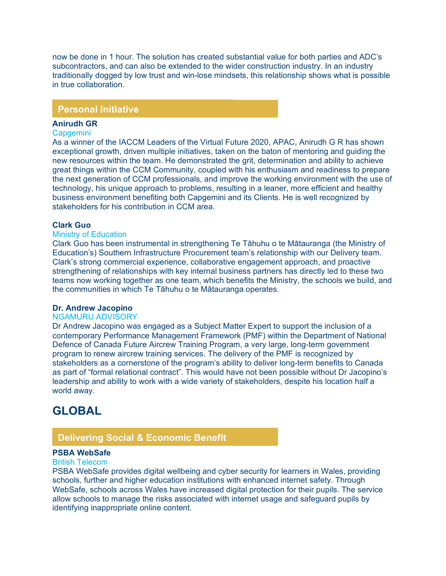now be done in 1 hour. The solution has created substantial value for both parties and ADC's subcontractors, and can also be extended to the wider construction industry. In an industry traditionally dogged by low trust and win-lose mindsets, this relationship shows what is possible in true collaboration.

# **Personal Initiative**

#### **Anirudh GR**

#### **Capgemini**

As a winner of the IACCM Leaders of the Virtual Future 2020, APAC, Anirudh G R has shown exceptional growth, driven multiple initiatives, taken on the baton of mentoring and guiding the new resources within the team. He demonstrated the grit, determination and ability to achieve great things within the CCM Community, coupled with his enthusiasm and readiness to prepare the next generation of CCM professionals, and improve the working environment with the use of technology, his unique approach to problems, resulting in a leaner, more efficient and healthy business environment benefiting both Capgemini and its Clients. He is well recognized by stakeholders for his contribution in CCM area.

#### **Clark Guo**

# Ministry of Education

Clark Guo has been instrumental in strengthening Te Tāhuhu o te Mātauranga (the Ministry of Education's) Southern Infrastructure Procurement team's relationship with our Delivery team. Clark's strong commercial experience, collaborative engagement approach, and proactive strengthening of relationships with key internal business partners has directly led to these two teams now working together as one team, which benefits the Ministry, the schools we build, and the communities in which Te Tāhuhu o te Mātauranga operates.

## **Dr. Andrew Jacopino**

#### NGAMURU ADVISORY

Dr Andrew Jacopino was engaged as a Subject Matter Expert to support the inclusion of a contemporary Performance Management Framework (PMF) within the Department of National Defence of Canada Future Aircrew Training Program, a very large, long-term government program to renew aircrew training services. The delivery of the PMF is recognized by stakeholders as a cornerstone of the program's ability to deliver long-term benefits to Canada as part of "formal relational contract". This would have not been possible without Dr Jacopino's leadership and ability to work with a wide variety of stakeholders, despite his location half a world away.

# <span id="page-9-0"></span>**GLOBAL**

# **Delivering Social & Economic Benefit**

# **PSBA WebSafe**

#### British Telecom

PSBA WebSafe provides digital wellbeing and cyber security for learners in Wales, providing schools, further and higher education institutions with enhanced internet safety. Through WebSafe, schools across Wales have increased digital protection for their pupils. The service allow schools to manage the risks associated with internet usage and safeguard pupils by identifying inappropriate online content.